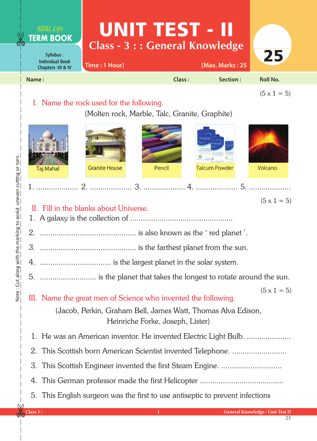